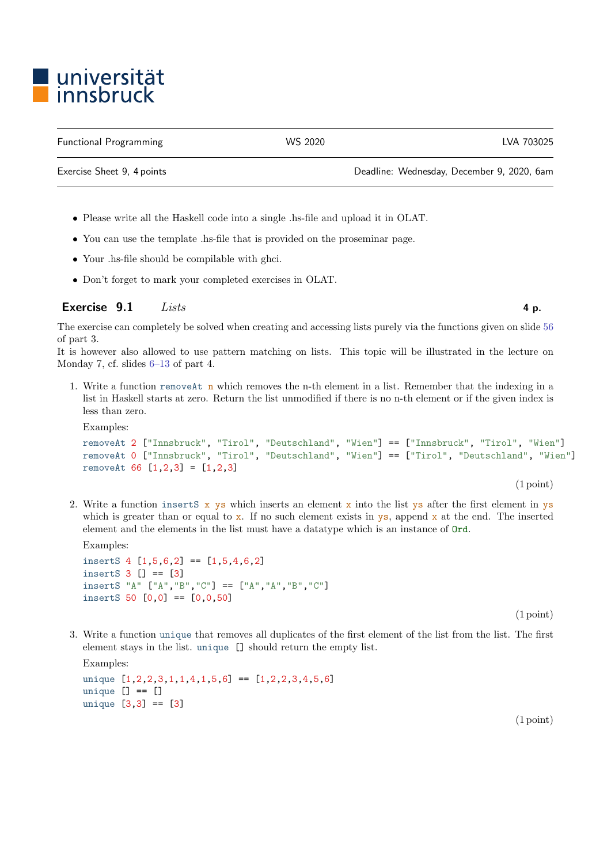## ■ universität<br>■ innsbruck

Functional Programming WS 2020 LVA 703025

Exercise Sheet 9, 4 points Deadline: Wednesday, December 9, 2020, 6am

- Please write all the Haskell code into a single .hs-file and upload it in OLAT.
- You can use the template .hs-file that is provided on the proseminar page.
- Your .hs-file should be compilable with ghci.
- Don't forget to mark your completed exercises in OLAT.

## Exercise  $9.1$  Lists 4 p.

The exercise can completely be solved when creating and accessing lists purely via the functions given on slide [56](http://cl-informatik.uibk.ac.at/teaching/ws20/fp/slides/03x1.pdf#page=56) of part 3.

It is however also allowed to use pattern matching on lists. This topic will be illustrated in the lecture on Monday 7, cf. slides [6–13](http://cl-informatik.uibk.ac.at/teaching/ws20/fp/slides/04x1.pdf#page=6) of part 4.

1. Write a function removeAt n which removes the n-th element in a list. Remember that the indexing in a list in Haskell starts at zero. Return the list unmodified if there is no n-th element or if the given index is less than zero.

```
Examples:
removeAt 2 ["Innsbruck", "Tirol", "Deutschland", "Wien"] == ["Innsbruck", "Tirol", "Wien"]
removeAt 0 ["Innsbruck", "Tirol", "Deutschland", "Wien"] == ["Tirol", "Deutschland", "Wien"]
removeAt 66 [1,2,3] = [1,2,3]
```
2. Write a function inserts  $x$  ys which inserts an element x into the list ys after the first element in ys which is greater than or equal to  $\bar{x}$ . If no such element exists in  $\bar{y}$ s, append  $\bar{x}$  at the end. The inserted element and the elements in the list must have a datatype which is an instance of Ord.

Examples:

```
insertS 4 [1,5,6,2] == [1,5,4,6,2]
insertS 3 \mid \cdot \mid \cdot \mid = \mid 3 \midinsertS "A" ["A","B","C"] == ["A","A","B","C"]
insertS 50 [0,0] == [0,0,50]
```
(1 point)

(1 point)

3. Write a function unique that removes all duplicates of the first element of the list from the list. The first element stays in the list. unique [] should return the empty list.

Examples: unique  $[1,2,2,3,1,1,4,1,5,6] = [1,2,2,3,4,5,6]$ unique  $[] == []$ unique [3,3] == [3]

(1 point)